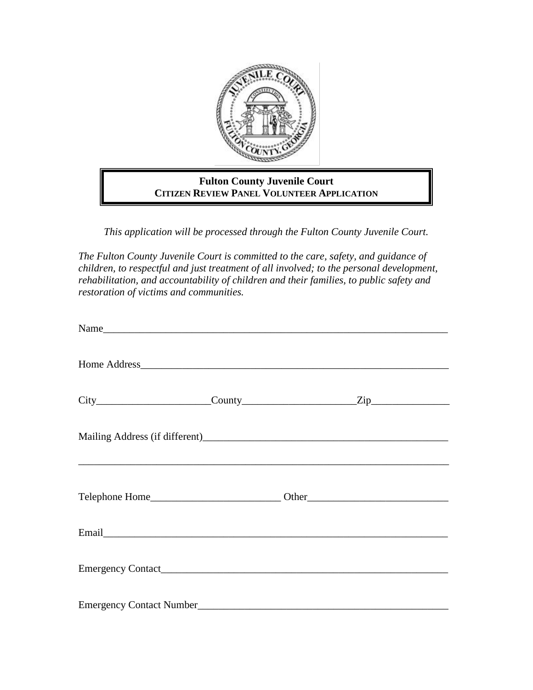

## **Fulton County Juvenile Court CITIZEN REVIEW PANEL VOLUNTEER APPLICATION**

*This application will be processed through the Fulton County Juvenile Court.*

*The Fulton County Juvenile Court is committed to the care, safety, and guidance of children, to respectful and just treatment of all involved; to the personal development, rehabilitation, and accountability of children and their families, to public safety and restoration of victims and communities.*

| Name                                  |  |  |
|---------------------------------------|--|--|
|                                       |  |  |
| $City$ $City$ $Cavity$ $County$ $Zip$ |  |  |
|                                       |  |  |
|                                       |  |  |
|                                       |  |  |
|                                       |  |  |
| <b>Emergency Contact Number</b>       |  |  |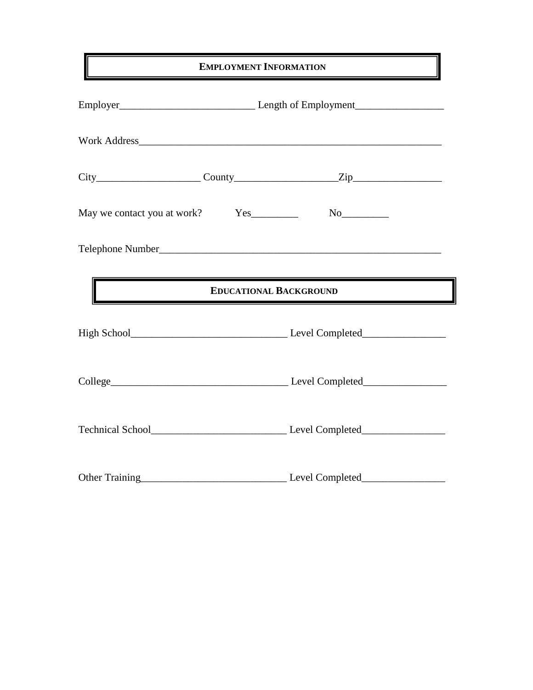# **EMPLOYMENT INFORMATION**

|                                                                                                                                                                                                                                        | $City$ $City$ $Cavity$ $Zip$ $Zip$ |  |  |  |
|----------------------------------------------------------------------------------------------------------------------------------------------------------------------------------------------------------------------------------------|------------------------------------|--|--|--|
|                                                                                                                                                                                                                                        |                                    |  |  |  |
|                                                                                                                                                                                                                                        |                                    |  |  |  |
| <b>EDUCATIONAL BACKGROUND</b><br><u> Andrew Maria (1989)</u><br>1990 - Carl Britain, politik fizik eta ingeles (h. 1905).<br>1991 - Andrew Maria (h. 1906).                                                                            |                                    |  |  |  |
|                                                                                                                                                                                                                                        |                                    |  |  |  |
|                                                                                                                                                                                                                                        |                                    |  |  |  |
|                                                                                                                                                                                                                                        |                                    |  |  |  |
| Other Training<br><u>Discrete and the set of the set of the set of the set of the set of the set of the set of the set of the set of the set of the set of the set of the set of the set of the set of the set of the set of the s</u> |                                    |  |  |  |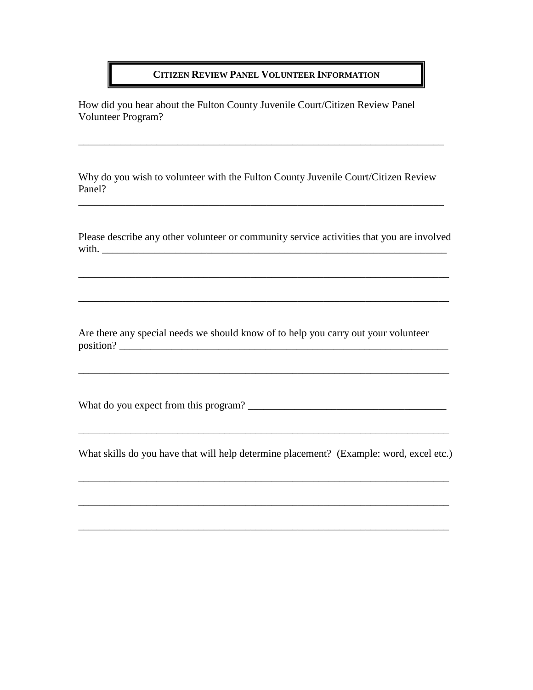### **CITIZEN REVIEW PANEL VOLUNTEER INFORMATION**

How did you hear about the Fulton County Juvenile Court/Citizen Review Panel Volunteer Program?

Why do you wish to volunteer with the Fulton County Juvenile Court/Citizen Review Panel?

\_\_\_\_\_\_\_\_\_\_\_\_\_\_\_\_\_\_\_\_\_\_\_\_\_\_\_\_\_\_\_\_\_\_\_\_\_\_\_\_\_\_\_\_\_\_\_\_\_\_\_\_\_\_\_\_\_\_\_\_\_\_\_\_\_\_\_\_\_\_

\_\_\_\_\_\_\_\_\_\_\_\_\_\_\_\_\_\_\_\_\_\_\_\_\_\_\_\_\_\_\_\_\_\_\_\_\_\_\_\_\_\_\_\_\_\_\_\_\_\_\_\_\_\_\_\_\_\_\_\_\_\_\_\_\_\_\_\_\_\_

Please describe any other volunteer or community service activities that you are involved with.

\_\_\_\_\_\_\_\_\_\_\_\_\_\_\_\_\_\_\_\_\_\_\_\_\_\_\_\_\_\_\_\_\_\_\_\_\_\_\_\_\_\_\_\_\_\_\_\_\_\_\_\_\_\_\_\_\_\_\_\_\_\_\_\_\_\_\_\_\_\_\_

Are there any special needs we should know of to help you carry out your volunteer position? \_\_\_\_\_\_\_\_\_\_\_\_\_\_\_\_\_\_\_\_\_\_\_\_\_\_\_\_\_\_\_\_\_\_\_\_\_\_\_\_\_\_\_\_\_\_\_\_\_\_\_\_\_\_\_\_\_\_\_\_\_\_\_

\_\_\_\_\_\_\_\_\_\_\_\_\_\_\_\_\_\_\_\_\_\_\_\_\_\_\_\_\_\_\_\_\_\_\_\_\_\_\_\_\_\_\_\_\_\_\_\_\_\_\_\_\_\_\_\_\_\_\_\_\_\_\_\_\_\_\_\_\_\_\_

What do you expect from this program? \_\_\_\_\_\_\_\_\_\_\_\_\_\_\_\_\_\_\_\_\_\_\_\_\_\_\_\_\_\_\_\_\_\_\_\_\_\_

What skills do you have that will help determine placement? (Example: word, excel etc.)

\_\_\_\_\_\_\_\_\_\_\_\_\_\_\_\_\_\_\_\_\_\_\_\_\_\_\_\_\_\_\_\_\_\_\_\_\_\_\_\_\_\_\_\_\_\_\_\_\_\_\_\_\_\_\_\_\_\_\_\_\_\_\_\_\_\_\_\_\_\_\_

\_\_\_\_\_\_\_\_\_\_\_\_\_\_\_\_\_\_\_\_\_\_\_\_\_\_\_\_\_\_\_\_\_\_\_\_\_\_\_\_\_\_\_\_\_\_\_\_\_\_\_\_\_\_\_\_\_\_\_\_\_\_\_\_\_\_\_\_\_\_\_

\_\_\_\_\_\_\_\_\_\_\_\_\_\_\_\_\_\_\_\_\_\_\_\_\_\_\_\_\_\_\_\_\_\_\_\_\_\_\_\_\_\_\_\_\_\_\_\_\_\_\_\_\_\_\_\_\_\_\_\_\_\_\_\_\_\_\_\_\_\_\_

\_\_\_\_\_\_\_\_\_\_\_\_\_\_\_\_\_\_\_\_\_\_\_\_\_\_\_\_\_\_\_\_\_\_\_\_\_\_\_\_\_\_\_\_\_\_\_\_\_\_\_\_\_\_\_\_\_\_\_\_\_\_\_\_\_\_\_\_\_\_\_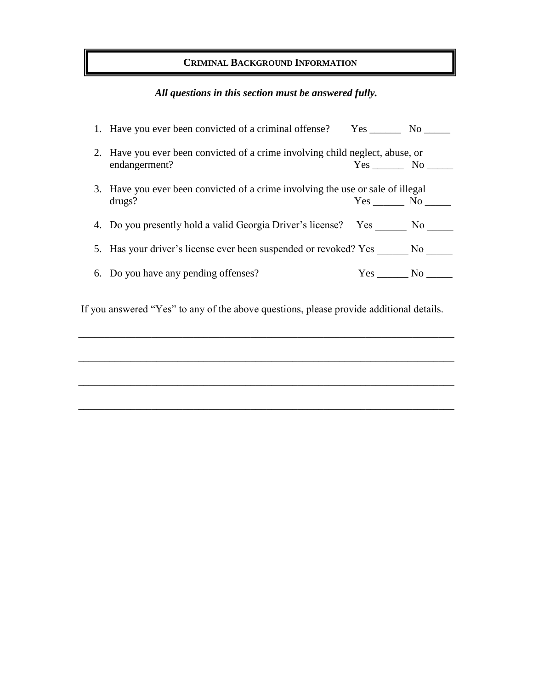## **CRIMINAL BACKGROUND INFORMATION**

# *All questions in this section must be answered fully.*

| 1. Have you ever been convicted of a criminal offense? Yes ________ No ______   |        |  |  |
|---------------------------------------------------------------------------------|--------|--|--|
| 2. Have you ever been convicted of a crime involving child neglect, abuse, or   |        |  |  |
| endangerment?                                                                   | Yes No |  |  |
| 3. Have you ever been convicted of a crime involving the use or sale of illegal |        |  |  |
| drugs?                                                                          | Yes No |  |  |
| 4. Do you presently hold a valid Georgia Driver's license? Yes No               |        |  |  |
| 5. Has your driver's license ever been suspended or revoked? Yes No             |        |  |  |
| 6. Do you have any pending offenses?                                            | Yes No |  |  |

If you answered "Yes" to any of the above questions, please provide additional details.

\_\_\_\_\_\_\_\_\_\_\_\_\_\_\_\_\_\_\_\_\_\_\_\_\_\_\_\_\_\_\_\_\_\_\_\_\_\_\_\_\_\_\_\_\_\_\_\_\_\_\_\_\_\_\_\_\_\_\_\_\_\_\_\_\_\_\_\_\_\_\_\_

\_\_\_\_\_\_\_\_\_\_\_\_\_\_\_\_\_\_\_\_\_\_\_\_\_\_\_\_\_\_\_\_\_\_\_\_\_\_\_\_\_\_\_\_\_\_\_\_\_\_\_\_\_\_\_\_\_\_\_\_\_\_\_\_\_\_\_\_\_\_\_\_

\_\_\_\_\_\_\_\_\_\_\_\_\_\_\_\_\_\_\_\_\_\_\_\_\_\_\_\_\_\_\_\_\_\_\_\_\_\_\_\_\_\_\_\_\_\_\_\_\_\_\_\_\_\_\_\_\_\_\_\_\_\_\_\_\_\_\_\_\_\_\_\_

\_\_\_\_\_\_\_\_\_\_\_\_\_\_\_\_\_\_\_\_\_\_\_\_\_\_\_\_\_\_\_\_\_\_\_\_\_\_\_\_\_\_\_\_\_\_\_\_\_\_\_\_\_\_\_\_\_\_\_\_\_\_\_\_\_\_\_\_\_\_\_\_